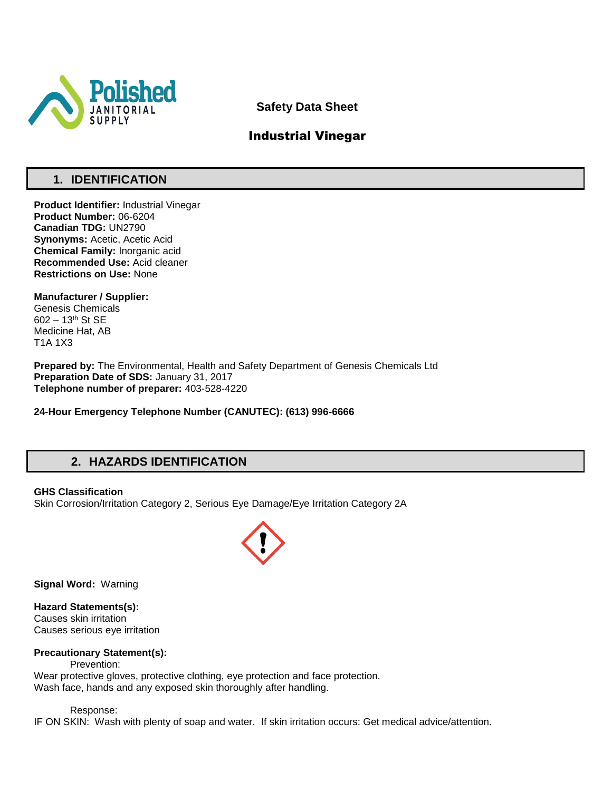

**Safety Data Sheet**

## Industrial Vinegar

## **1. IDENTIFICATION**

**Product Identifier:** Industrial Vinegar **Product Number:** 06-6204 **Canadian TDG:** UN2790 **Synonyms: Acetic, Acetic Acid Chemical Family:** Inorganic acid **Recommended Use:** Acid cleaner **Restrictions on Use:** None

**Manufacturer / Supplier:** Genesis Chemicals 602 – 13th St SE Medicine Hat, AB T1A 1X3

**Prepared by:** The Environmental, Health and Safety Department of Genesis Chemicals Ltd **Preparation Date of SDS:** January 31, 2017 **Telephone number of preparer:** 403-528-4220

**24-Hour Emergency Telephone Number (CANUTEC): (613) 996-6666**

## **2. HAZARDS IDENTIFICATION**

### **GHS Classification**

Skin Corrosion/Irritation Category 2, Serious Eye Damage/Eye Irritation Category 2A



**Signal Word:** Warning

**Hazard Statements(s):** Causes skin irritation Causes serious eye irritation

### **Precautionary Statement(s):**

Prevention: Wear protective gloves, protective clothing, eye protection and face protection. Wash face, hands and any exposed skin thoroughly after handling.

Response:

IF ON SKIN: Wash with plenty of soap and water. If skin irritation occurs: Get medical advice/attention.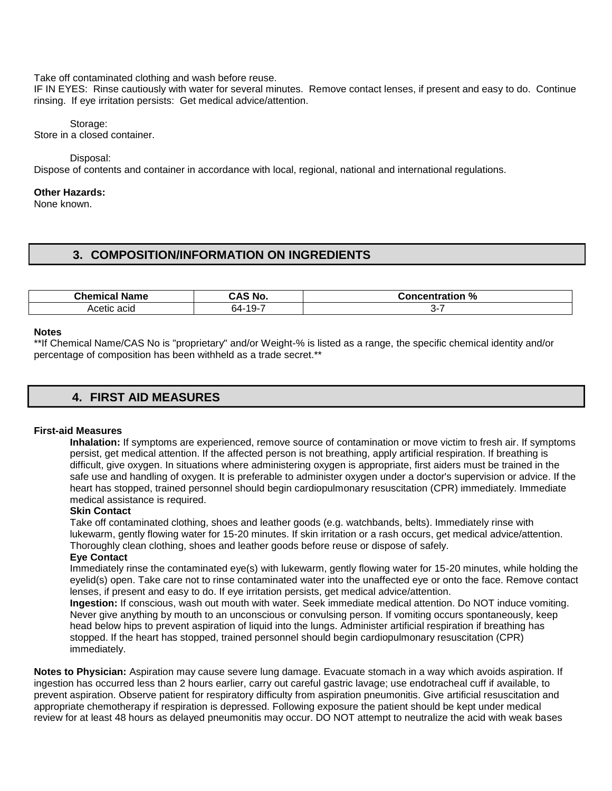Take off contaminated clothing and wash before reuse.

IF IN EYES: Rinse cautiously with water for several minutes. Remove contact lenses, if present and easy to do. Continue rinsing. If eye irritation persists: Get medical advice/attention.

Storage: Store in a closed container.

Disposal:

Dispose of contents and container in accordance with local, regional, national and international regulations.

### **Other Hazards:**

None known.

### **3. COMPOSITION/INFORMATION ON INGREDIENTS**

| <b>Chemical</b>     | ` No.          | %             |
|---------------------|----------------|---------------|
| Name                | $\cdots$       | Concentration |
| acia<br>œ<br>$\sim$ | $19 -$<br>64-1 |               |

#### **Notes**

\*\*If Chemical Name/CAS No is "proprietary" and/or Weight-% is listed as a range, the specific chemical identity and/or percentage of composition has been withheld as a trade secret.\*\*

## **4. FIRST AID MEASURES**

#### **First-aid Measures**

**Inhalation:** If symptoms are experienced, remove source of contamination or move victim to fresh air. If symptoms persist, get medical attention. If the affected person is not breathing, apply artificial respiration. If breathing is difficult, give oxygen. In situations where administering oxygen is appropriate, first aiders must be trained in the safe use and handling of oxygen. It is preferable to administer oxygen under a doctor's supervision or advice. If the heart has stopped, trained personnel should begin cardiopulmonary resuscitation (CPR) immediately. Immediate medical assistance is required.

### **Skin Contact**

Take off contaminated clothing, shoes and leather goods (e.g. watchbands, belts). Immediately rinse with lukewarm, gently flowing water for 15-20 minutes. If skin irritation or a rash occurs, get medical advice/attention. Thoroughly clean clothing, shoes and leather goods before reuse or dispose of safely.

#### **Eye Contact**

Immediately rinse the contaminated eye(s) with lukewarm, gently flowing water for 15-20 minutes, while holding the eyelid(s) open. Take care not to rinse contaminated water into the unaffected eye or onto the face. Remove contact lenses, if present and easy to do. If eye irritation persists, get medical advice/attention.

**Ingestion:** If conscious, wash out mouth with water. Seek immediate medical attention. Do NOT induce vomiting. Never give anything by mouth to an unconscious or convulsing person. If vomiting occurs spontaneously, keep head below hips to prevent aspiration of liquid into the lungs. Administer artificial respiration if breathing has stopped. If the heart has stopped, trained personnel should begin cardiopulmonary resuscitation (CPR) immediately.

**Notes to Physician:** Aspiration may cause severe lung damage. Evacuate stomach in a way which avoids aspiration. If ingestion has occurred less than 2 hours earlier, carry out careful gastric lavage; use endotracheal cuff if available, to prevent aspiration. Observe patient for respiratory difficulty from aspiration pneumonitis. Give artificial resuscitation and appropriate chemotherapy if respiration is depressed. Following exposure the patient should be kept under medical review for at least 48 hours as delayed pneumonitis may occur. DO NOT attempt to neutralize the acid with weak bases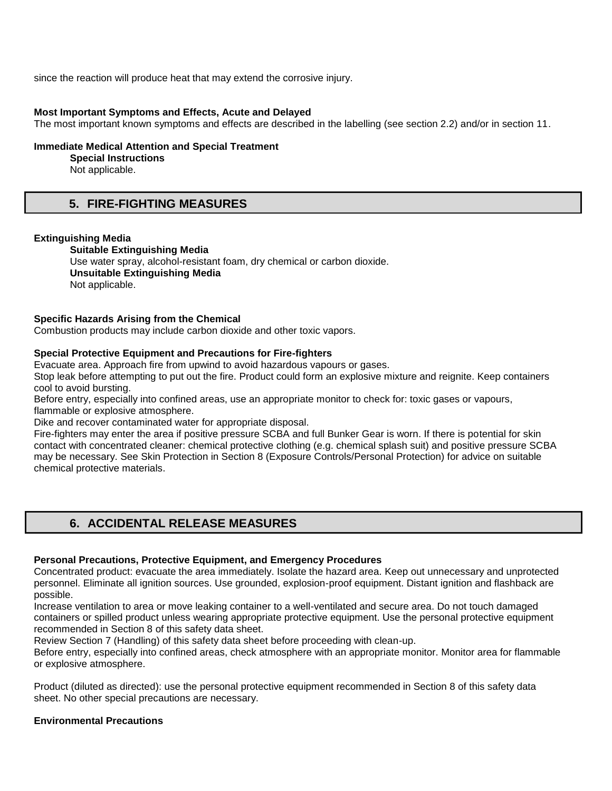since the reaction will produce heat that may extend the corrosive injury.

#### **Most Important Symptoms and Effects, Acute and Delayed**

The most important known symptoms and effects are described in the labelling (see section 2.2) and/or in section 11.

#### **Immediate Medical Attention and Special Treatment**

**Special Instructions** 

Not applicable.

### **5. FIRE-FIGHTING MEASURES**

#### **Extinguishing Media**

**Suitable Extinguishing Media** Use water spray, alcohol-resistant foam, dry chemical or carbon dioxide. **Unsuitable Extinguishing Media**  Not applicable.

### **Specific Hazards Arising from the Chemical**

Combustion products may include carbon dioxide and other toxic vapors.

### **Special Protective Equipment and Precautions for Fire-fighters**

Evacuate area. Approach fire from upwind to avoid hazardous vapours or gases.

Stop leak before attempting to put out the fire. Product could form an explosive mixture and reignite. Keep containers cool to avoid bursting.

Before entry, especially into confined areas, use an appropriate monitor to check for: toxic gases or vapours, flammable or explosive atmosphere.

Dike and recover contaminated water for appropriate disposal.

Fire-fighters may enter the area if positive pressure SCBA and full Bunker Gear is worn. If there is potential for skin contact with concentrated cleaner: chemical protective clothing (e.g. chemical splash suit) and positive pressure SCBA may be necessary. See Skin Protection in Section 8 (Exposure Controls/Personal Protection) for advice on suitable chemical protective materials.

## **6. ACCIDENTAL RELEASE MEASURES**

### **Personal Precautions, Protective Equipment, and Emergency Procedures**

Concentrated product: evacuate the area immediately. Isolate the hazard area. Keep out unnecessary and unprotected personnel. Eliminate all ignition sources. Use grounded, explosion-proof equipment. Distant ignition and flashback are possible.

Increase ventilation to area or move leaking container to a well-ventilated and secure area. Do not touch damaged containers or spilled product unless wearing appropriate protective equipment. Use the personal protective equipment recommended in Section 8 of this safety data sheet.

Review Section 7 (Handling) of this safety data sheet before proceeding with clean-up.

Before entry, especially into confined areas, check atmosphere with an appropriate monitor. Monitor area for flammable or explosive atmosphere.

Product (diluted as directed): use the personal protective equipment recommended in Section 8 of this safety data sheet. No other special precautions are necessary.

### **Environmental Precautions**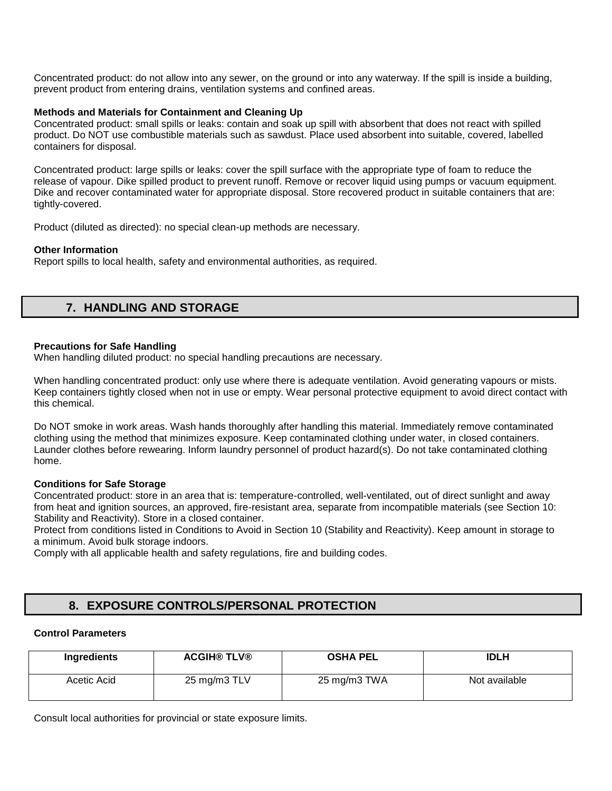Concentrated product: do not allow into any sewer, on the ground or into any waterway. If the spill is inside a building, prevent product from entering drains, ventilation systems and confined areas.

### **Methods and Materials for Containment and Cleaning Up**

Concentrated product: small spills or leaks: contain and soak up spill with absorbent that does not react with spilled product. Do NOT use combustible materials such as sawdust. Place used absorbent into suitable, covered, labelled containers for disposal.

Concentrated product: large spills or leaks: cover the spill surface with the appropriate type of foam to reduce the release of vapour. Dike spilled product to prevent runoff. Remove or recover liquid using pumps or vacuum equipment. Dike and recover contaminated water for appropriate disposal. Store recovered product in suitable containers that are: tightly-covered.

Product (diluted as directed): no special clean-up methods are necessary.

### **Other Information**

Report spills to local health, safety and environmental authorities, as required.

## **7. HANDLING AND STORAGE**

### **Precautions for Safe Handling**

When handling diluted product: no special handling precautions are necessary.

When handling concentrated product: only use where there is adequate ventilation. Avoid generating vapours or mists. Keep containers tightly closed when not in use or empty. Wear personal protective equipment to avoid direct contact with this chemical.

Do NOT smoke in work areas. Wash hands thoroughly after handling this material. Immediately remove contaminated clothing using the method that minimizes exposure. Keep contaminated clothing under water, in closed containers. Launder clothes before rewearing. Inform laundry personnel of product hazard(s). Do not take contaminated clothing home.

### **Conditions for Safe Storage**

Concentrated product: store in an area that is: temperature-controlled, well-ventilated, out of direct sunlight and away from heat and ignition sources, an approved, fire-resistant area, separate from incompatible materials (see Section 10: Stability and Reactivity). Store in a closed container.

Protect from conditions listed in Conditions to Avoid in Section 10 (Stability and Reactivity). Keep amount in storage to a minimum. Avoid bulk storage indoors.

Comply with all applicable health and safety regulations, fire and building codes.

## **8. EXPOSURE CONTROLS/PERSONAL PROTECTION**

### **Control Parameters**

| Ingredients | <b>ACGIH® TLV®</b> | <b>OSHA PEL</b> | <b>IDLH</b>   |
|-------------|--------------------|-----------------|---------------|
| Acetic Acid | 25 mg/m3 TLV       | 25 mg/m3 TWA    | Not available |

Consult local authorities for provincial or state exposure limits.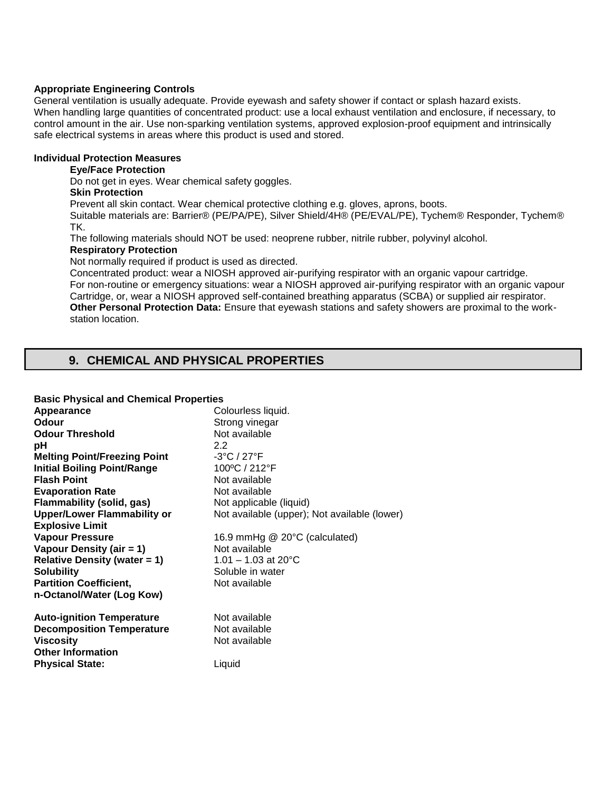### **Appropriate Engineering Controls**

General ventilation is usually adequate. Provide eyewash and safety shower if contact or splash hazard exists. When handling large quantities of concentrated product: use a local exhaust ventilation and enclosure, if necessary, to control amount in the air. Use non-sparking ventilation systems, approved explosion-proof equipment and intrinsically safe electrical systems in areas where this product is used and stored.

### **Individual Protection Measures**

### **Eye/Face Protection**

Do not get in eyes. Wear chemical safety goggles.

### **Skin Protection**

Prevent all skin contact. Wear chemical protective clothing e.g. gloves, aprons, boots.

Suitable materials are: Barrier® (PE/PA/PE), Silver Shield/4H® (PE/EVAL/PE), Tychem® Responder, Tychem® TK.

The following materials should NOT be used: neoprene rubber, nitrile rubber, polyvinyl alcohol.

### **Respiratory Protection**

Not normally required if product is used as directed.

Concentrated product: wear a NIOSH approved air-purifying respirator with an organic vapour cartridge. For non-routine or emergency situations: wear a NIOSH approved air-purifying respirator with an organic vapour Cartridge, or, wear a NIOSH approved self-contained breathing apparatus (SCBA) or supplied air respirator. **Other Personal Protection Data:** Ensure that eyewash stations and safety showers are proximal to the workstation location.

## **9. CHEMICAL AND PHYSICAL PROPERTIES**

| <b>Basic Physical and Chemical Properties</b> |                                              |  |
|-----------------------------------------------|----------------------------------------------|--|
| Appearance                                    | Colourless liquid.                           |  |
| Odour                                         | Strong vinegar                               |  |
| <b>Odour Threshold</b>                        | Not available                                |  |
| рH                                            | 2.2                                          |  |
| <b>Melting Point/Freezing Point</b>           | $-3^{\circ}$ C / 27 $^{\circ}$ F             |  |
| <b>Initial Boiling Point/Range</b>            | 100°C / 212°F                                |  |
| <b>Flash Point</b>                            | Not available                                |  |
| <b>Evaporation Rate</b>                       | Not available                                |  |
| Flammability (solid, gas)                     | Not applicable (liquid)                      |  |
| <b>Upper/Lower Flammability or</b>            | Not available (upper); Not available (lower) |  |
| <b>Explosive Limit</b>                        |                                              |  |
| <b>Vapour Pressure</b>                        | 16.9 mmHg @ 20°C (calculated)                |  |
| Vapour Density (air = 1)                      | Not available                                |  |
| <b>Relative Density (water = 1)</b>           | $1.01 - 1.03$ at 20 $^{\circ}$ C             |  |
| <b>Solubility</b>                             | Soluble in water                             |  |
| <b>Partition Coefficient,</b>                 | Not available                                |  |
| n-Octanol/Water (Log Kow)                     |                                              |  |
| <b>Auto-ignition Temperature</b>              | Not available                                |  |
| <b>Decomposition Temperature</b>              | Not available                                |  |
| <b>Viscosity</b>                              | Not available                                |  |
| <b>Other Information</b>                      |                                              |  |
| <b>Physical State:</b>                        | Liquid                                       |  |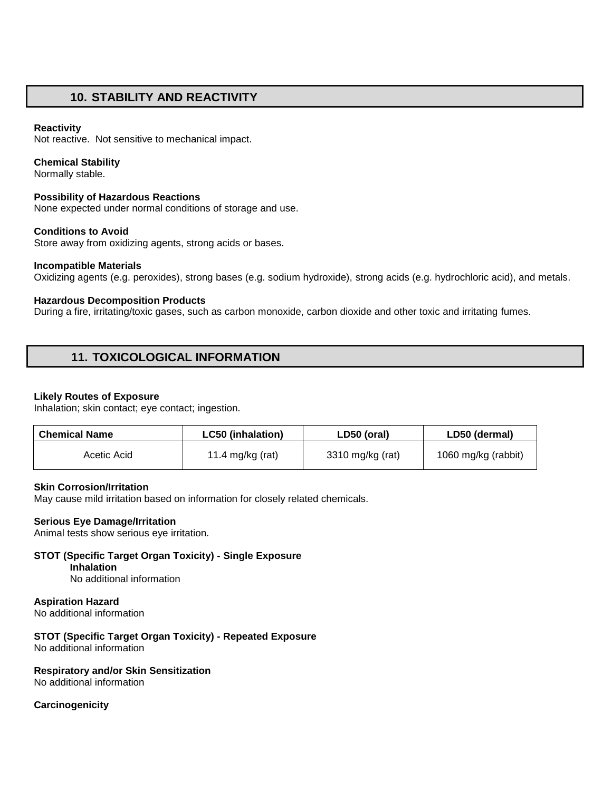## **10. STABILITY AND REACTIVITY**

### **Reactivity**

Not reactive. Not sensitive to mechanical impact.

### **Chemical Stability**

Normally stable.

### **Possibility of Hazardous Reactions**

None expected under normal conditions of storage and use.

### **Conditions to Avoid**

Store away from oxidizing agents, strong acids or bases.

### **Incompatible Materials**

Oxidizing agents (e.g. peroxides), strong bases (e.g. sodium hydroxide), strong acids (e.g. hydrochloric acid), and metals.

### **Hazardous Decomposition Products**

During a fire, irritating/toxic gases, such as carbon monoxide, carbon dioxide and other toxic and irritating fumes.

## **11. TOXICOLOGICAL INFORMATION**

### **Likely Routes of Exposure**

Inhalation; skin contact; eye contact; ingestion.

| <b>Chemical Name</b> | <b>LC50 (inhalation)</b> | LD50 (oral)      | LD50 (dermal)       |
|----------------------|--------------------------|------------------|---------------------|
| Acetic Acid          | 11.4 mg/kg (rat)         | 3310 mg/kg (rat) | 1060 mg/kg (rabbit) |

### **Skin Corrosion/Irritation**

May cause mild irritation based on information for closely related chemicals.

### **Serious Eye Damage/Irritation**

Animal tests show serious eye irritation.

#### **STOT (Specific Target Organ Toxicity) - Single Exposure Inhalation**

No additional information

### **Aspiration Hazard**

No additional information

#### **STOT (Specific Target Organ Toxicity) - Repeated Exposure**  No additional information

### **Respiratory and/or Skin Sensitization**

No additional information

### **Carcinogenicity**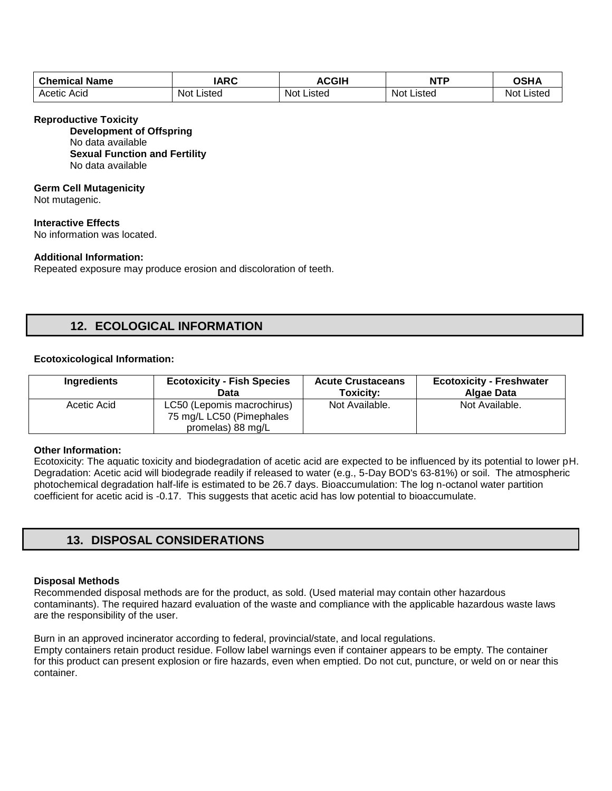| <b>Chemical Name</b> | <b>IARC</b> | <b>ACGIH</b> | <b>NTP</b> | <b>OSHA</b> |
|----------------------|-------------|--------------|------------|-------------|
| Acetic               | Not         | Not          | Not        | Not         |
| Acid                 | Listed      | Listed       | Listed     | Listed      |

#### **Reproductive Toxicity**

**Development of Offspring**  No data available **Sexual Function and Fertility**  No data available

#### **Germ Cell Mutagenicity**

Not mutagenic.

**Interactive Effects**  No information was located.

### **Additional Information:**

Repeated exposure may produce erosion and discoloration of teeth.

### **12. ECOLOGICAL INFORMATION**

#### **Ecotoxicological Information:**

| Ingredients | <b>Ecotoxicity - Fish Species</b>                                           | <b>Acute Crustaceans</b> | <b>Ecotoxicity - Freshwater</b> |
|-------------|-----------------------------------------------------------------------------|--------------------------|---------------------------------|
|             | Data                                                                        | Toxicity:                | Algae Data                      |
| Acetic Acid | LC50 (Lepomis macrochirus)<br>75 mg/L LC50 (Pimephales<br>promelas) 88 mg/L | Not Available.           | Not Available.                  |

#### **Other Information:**

Ecotoxicity: The aquatic toxicity and biodegradation of acetic acid are expected to be influenced by its potential to lower pH. Degradation: Acetic acid will biodegrade readily if released to water (e.g., 5-Day BOD's 63-81%) or soil. The atmospheric photochemical degradation half-life is estimated to be 26.7 days. Bioaccumulation: The log n-octanol water partition coefficient for acetic acid is -0.17. This suggests that acetic acid has low potential to bioaccumulate.

## **13. DISPOSAL CONSIDERATIONS**

### **Disposal Methods**

Recommended disposal methods are for the product, as sold. (Used material may contain other hazardous contaminants). The required hazard evaluation of the waste and compliance with the applicable hazardous waste laws are the responsibility of the user.

Burn in an approved incinerator according to federal, provincial/state, and local regulations. Empty containers retain product residue. Follow label warnings even if container appears to be empty. The container for this product can present explosion or fire hazards, even when emptied. Do not cut, puncture, or weld on or near this container.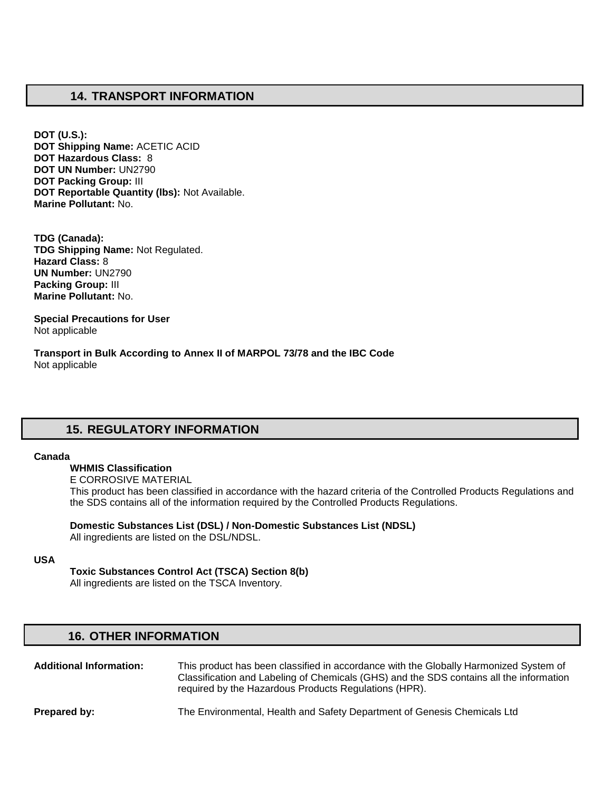### **14. TRANSPORT INFORMATION**

**DOT (U.S.): DOT Shipping Name:** ACETIC ACID **DOT Hazardous Class:** 8 **DOT UN Number:** UN2790 **DOT Packing Group:** III **DOT Reportable Quantity (lbs):** Not Available. **Marine Pollutant:** No.

**TDG (Canada): TDG Shipping Name:** Not Regulated. **Hazard Class:** 8 **UN Number:** UN2790 **Packing Group:** III **Marine Pollutant:** No.

**Special Precautions for User** Not applicable

**Transport in Bulk According to Annex II of MARPOL 73/78 and the IBC Code**  Not applicable

# **15. REGULATORY INFORMATION**

#### **Canada**

**WHMIS Classification** 

E CORROSIVE MATERIAL This product has been classified in accordance with the hazard criteria of the Controlled Products Regulations and the SDS contains all of the information required by the Controlled Products Regulations.

**Domestic Substances List (DSL) / Non-Domestic Substances List (NDSL)**  All ingredients are listed on the DSL/NDSL.

#### **USA**

**Toxic Substances Control Act (TSCA) Section 8(b)** 

All ingredients are listed on the TSCA Inventory.

### **16. OTHER INFORMATION**

**Additional Information:** This product has been classified in accordance with the Globally Harmonized System of Classification and Labeling of Chemicals (GHS) and the SDS contains all the information required by the Hazardous Products Regulations (HPR). **Prepared by:** The Environmental, Health and Safety Department of Genesis Chemicals Ltd